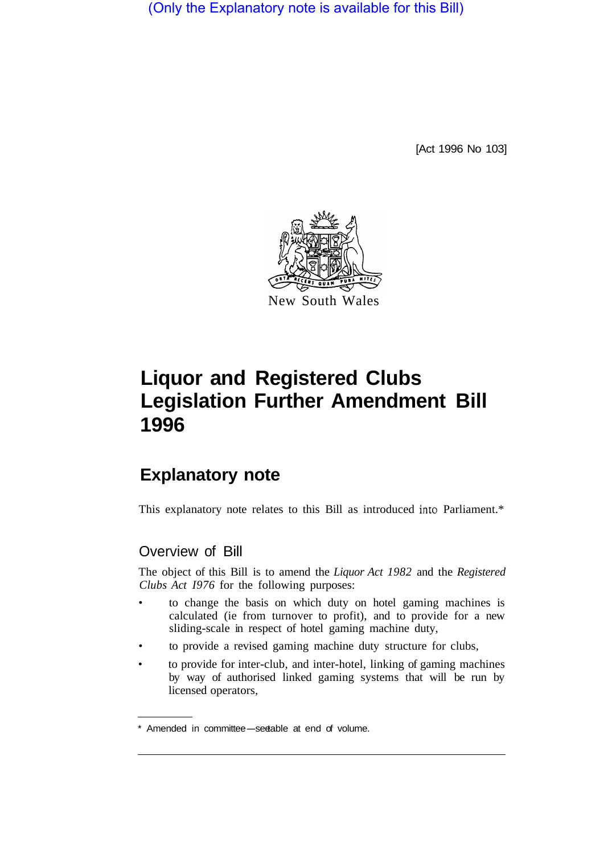(Only the Explanatory note is available for this Bill)

[Act 1996 No 103]



# **Liquor and Registered Clubs Legislation Further Amendment Bill 1996**

# **Explanatory note**

This explanatory note relates to this Bill as introduced into Parliament.\*

## Overview of Bill

The object of this Bill is to amend the *Liquor Act 1982* and the *Registered Clubs Act I976* for the following purposes:

- to change the basis on which duty on hotel gaming machines is calculated (ie from turnover to profit), and to provide for a new sliding-scale in respect of hotel gaming machine duty,
- to provide a revised gaming machine duty structure for clubs,
- to provide for inter-club, and inter-hotel, linking of gaming machines by way of authorised linked gaming systems that will be run by licensed operators,

<sup>\*</sup> Amended in committee-seetable at end of volume.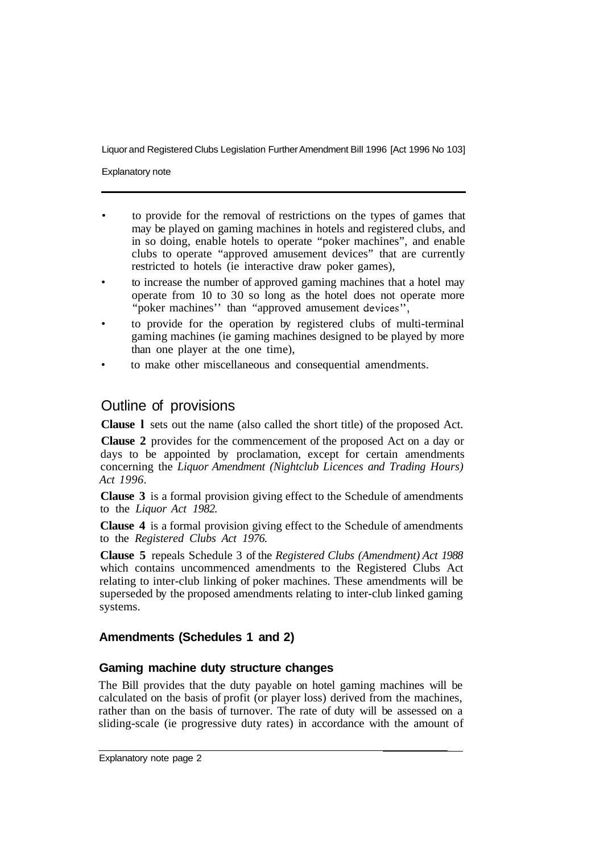Liquor and Registered Clubs Legislation Further Amendment Bill 1996 [Act 1996 No 103]

Explanatory note

- to provide for the removal of restrictions on the types of games that may be played on gaming machines in hotels and registered clubs, and in so doing, enable hotels to operate "poker machines", and enable clubs to operate "approved amusement devices" that are currently restricted to hotels (ie interactive draw poker games),
- to increase the number of approved gaming machines that a hotel may operate from 10 to 30 so long as the hotel does not operate more "poker machines" than "approved amusement devices",
- to provide for the operation by registered clubs of multi-terminal gaming machines (ie gaming machines designed to be played by more than one player at the one time),
- to make other miscellaneous and consequential amendments.

### Outline of provisions

**Clause l** sets out the name (also called the short title) of the proposed Act.

**Clause 2** provides for the commencement of the proposed Act on a day or days to be appointed by proclamation, except for certain amendments concerning the *Liquor Amendment (Nightclub Licences and Trading Hours) Act 1996.* 

**Clause 3** is a formal provision giving effect to the Schedule of amendments to the *Liquor Act 1982.* 

**Clause 4** is a formal provision giving effect to the Schedule of amendments to the *Registered Clubs Act 1976.* 

**Clause 5** repeals Schedule 3 of the *Registered Clubs (Amendment) Act 1988*  which contains uncommenced amendments to the Registered Clubs Act relating to inter-club linking of poker machines. These amendments will be superseded by the proposed amendments relating to inter-club linked gaming systems.

#### **Amendments (Schedules 1 and 2)**

#### **Gaming machine duty structure changes**

The Bill provides that the duty payable on hotel gaming machines will be calculated on the basis of profit (or player loss) derived from the machines, rather than on the basis of turnover. The rate of duty will be assessed on a sliding-scale (ie progressive duty rates) in accordance with the amount of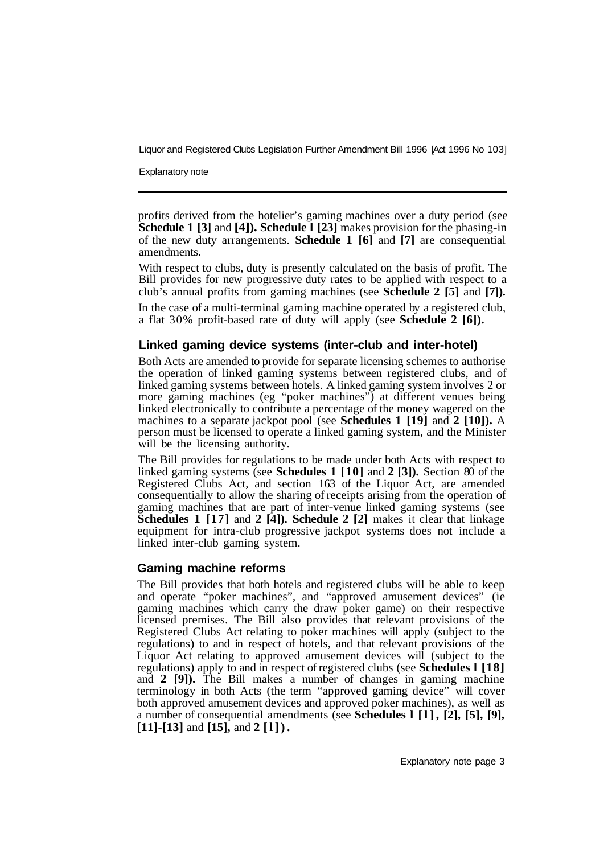Liquor and Registered Clubs Legislation Further Amendment Bill 1996 [Act 1996 No 103]

Explanatory note

profits derived from the hotelier's gaming machines over a duty period (see **Schedule 1 [3] and [4]). Schedule 1 [23] makes provision for the phasing-in** of the new duty arrangements. **Schedule 1 [6]** and **[7]** are consequential amendments.

With respect to clubs, duty is presently calculated on the basis of profit. The Bill provides for new progressive duty rates to be applied with respect to a club's annual profits from gaming machines (see **Schedule 2 [5]** and **[7]).** 

In the case of a multi-terminal gaming machine operated by a registered club, a flat 30% profit-based rate of duty will apply (see **Schedule 2 [6]).** 

#### **Linked gaming device systems (inter-club and inter-hotel)**

Both Acts are amended to provide for separate licensing schemes to authorise the operation of linked gaming systems between registered clubs, and of linked gaming systems between hotels. A linked gaming system involves 2 or more gaming machines (eg "poker machines") at different venues being linked electronically to contribute a percentage of the money wagered on the machines to a separate jackpot pool (see **Schedules 1 [19]** and **2 [10]).** A person must be licensed to operate a linked gaming system, and the Minister will be the licensing authority.

The Bill provides for regulations to be made under both Acts with respect to linked gaming systems (see **Schedules 1 [10]** and **2 [3]).** Section 80 of the Registered Clubs Act, and section 163 of the Liquor Act, are amended consequentially to allow the sharing of receipts arising from the operation of gaming machines that are part of inter-venue linked gaming systems (see **Schedules 1 [17] and 2 [4]). Schedule 2 [2] makes it clear that linkage** equipment for intra-club progressive jackpot systems does not include a linked inter-club gaming system.

#### **Gaming machine reforms**

The Bill provides that both hotels and registered clubs will be able to keep and operate "poker machines", and "approved amusement devices" (ie gaming machines which carry the draw poker game) on their respective licensed premises. The Bill also provides that relevant provisions of the Registered Clubs Act relating to poker machines will apply (subject to the regulations) to and in respect of hotels, and that relevant provisions of the Liquor Act relating to approved amusement devices will (subject to the regulations) apply to and in respect of registered clubs (see **Schedules l [18]**  and **2 [9]).** The Bill makes a number of changes in gaming machine terminology in both Acts (the term "approved gaming device" will cover both approved amusement devices and approved poker machines), as well as a number of consequential amendments (see **Schedules l [l], [2], [5], [9], [11]-[13]** and **[15],** and **2 [l]).**